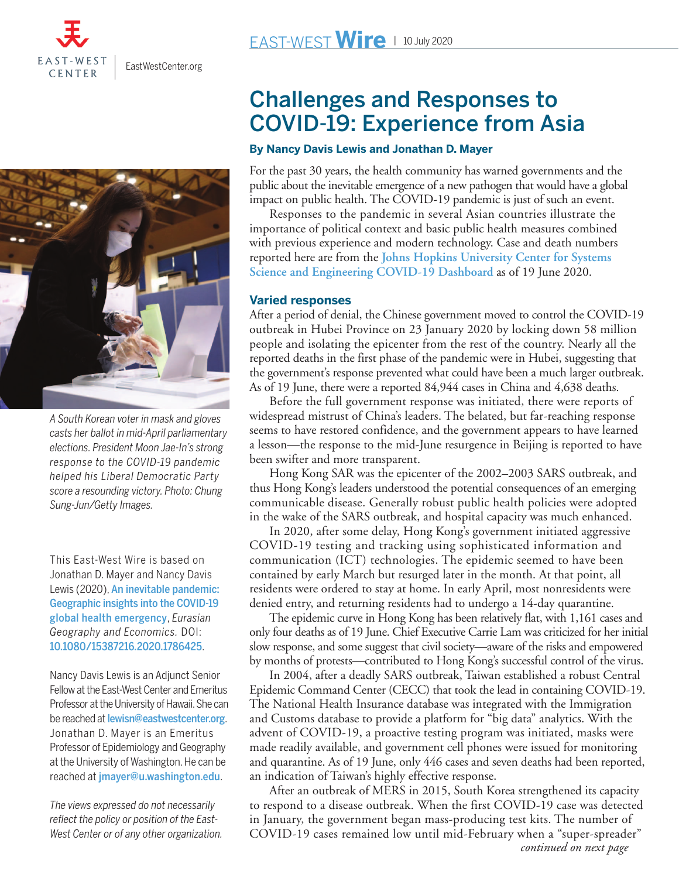

[EastWestCenter.org](http://www.EastWestCenter.org)



*A South Korean voter in mask and gloves casts her ballot in mid-April parliamentary elections. President Moon Jae-In's strong response to the COVID-19 pandemic helped his Liberal Democratic Party score a resounding victory. Photo: Chung Sung-Jun/Getty Images.*

This East-West Wire is based on Jonathan D. Mayer and Nancy Davis Lewis (2020), [An inevitable pandemic:](https://www.tandfonline.com/doi/full/10.1080/15387216.2020.1786425) [Geographic insights into the COVID-19](https://www.tandfonline.com/doi/full/10.1080/15387216.2020.1786425) [global health emergency](https://www.tandfonline.com/doi/full/10.1080/15387216.2020.1786425), *Eurasian Geography and Economics.* DOI: [10.1080/15387216.2020.1786425](https://doi.org/10.1080/15387216.2020.1786425).

Nancy Davis Lewis is an Adjunct Senior Fellow at the East-West Center and Emeritus Professor at the University of Hawaii. She can be reached at [lewisn@eastwestcenter.org](mailto:lewisn@eastwestcenter.org). Jonathan D. Mayer is an Emeritus Professor of Epidemiology and Geography at the University of Washington. He can be reached at [jmayer@u.washington.edu](mailto:jmayer@u.washington.edu).

*The views expressed do not necessarily reflect the policy or position of the East-West Center or of any other organization.*

# Challenges and Responses to COVID-19: Experience from Asia

### **By Nancy Davis Lewis and Jonathan D. Mayer**

For the past 30 years, the health community has warned governments and the public about the inevitable emergence of a new pathogen that would have a global impact on public health. The COVID-19 pandemic is just of such an event.

 Responses to the pandemic in several Asian countries illustrate the importance of political context and basic public health measures combined with previous experience and modern technology. Case and death numbers reported here are from the **[Johns Hopkins University Center for Systems](https://coronavirus.jhu.edu/map.html)  [Science and Engineering COVID-19 Dashboard](https://coronavirus.jhu.edu/map.html)** as of 19 June 2020.

## **Varied responses**

After a period of denial, the Chinese government moved to control the COVID-19 outbreak in Hubei Province on 23 January 2020 by locking down 58 million people and isolating the epicenter from the rest of the country. Nearly all the reported deaths in the first phase of the pandemic were in Hubei, suggesting that the government's response prevented what could have been a much larger outbreak. As of 19 June, there were a reported 84,944 cases in China and 4,638 deaths.

 Before the full government response was initiated, there were reports of widespread mistrust of China's leaders. The belated, but far-reaching response seems to have restored confidence, and the government appears to have learned a lesson—the response to the mid-June resurgence in Beijing is reported to have been swifter and more transparent.

 Hong Kong SAR was the epicenter of the 2002–2003 SARS outbreak, and thus Hong Kong's leaders understood the potential consequences of an emerging communicable disease. Generally robust public health policies were adopted in the wake of the SARS outbreak, and hospital capacity was much enhanced.

 In 2020, after some delay, Hong Kong's government initiated aggressive COVID-19 testing and tracking using sophisticated information and communication (ICT) technologies. The epidemic seemed to have been contained by early March but resurged later in the month. At that point, all residents were ordered to stay at home. In early April, most nonresidents were denied entry, and returning residents had to undergo a 14-day quarantine.

 The epidemic curve in Hong Kong has been relatively flat, with 1,161 cases and only four deaths as of 19 June. Chief Executive Carrie Lam was criticized for her initial slow response, and some suggest that civil society—aware of the risks and empowered by months of protests—contributed to Hong Kong's successful control of the virus.

 In 2004, after a deadly SARS outbreak, Taiwan established a robust Central Epidemic Command Center (CECC) that took the lead in containing COVID-19. The National Health Insurance database was integrated with the Immigration and Customs database to provide a platform for "big data" analytics. With the advent of COVID-19, a proactive testing program was initiated, masks were made readily available, and government cell phones were issued for monitoring and quarantine. As of 19 June, only 446 cases and seven deaths had been reported, an indication of Taiwan's highly effective response.

 After an outbreak of MERS in 2015, South Korea strengthened its capacity to respond to a disease outbreak. When the first COVID-19 case was detected in January, the government began mass-producing test kits. The number of COVID-19 cases remained low until mid-February when a "super-spreader" *continued on next page*